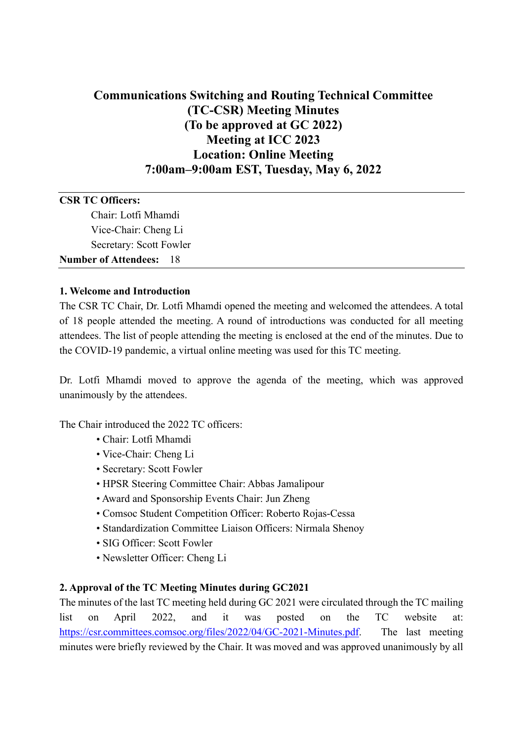# **Communications Switching and Routing Technical Committee (TC-CSR) Meeting Minutes (To be approved at GC 2022) Meeting at ICC 2023 Location: Online Meeting 7:00am–9:00am EST, Tuesday, May 6, 2022**

# **CSR TC Officers:** Chair: Lotfi Mhamdi Vice-Chair: Cheng Li Secretary: Scott Fowler **Number of Attendees:** 18

#### **1. Welcome and Introduction**

The CSR TC Chair, Dr. Lotfi Mhamdi opened the meeting and welcomed the attendees. A total of 18 people attended the meeting. A round of introductions was conducted for all meeting attendees. The list of people attending the meeting is enclosed at the end of the minutes. Due to the COVID-19 pandemic, a virtual online meeting was used for this TC meeting.

Dr. Lotfi Mhamdi moved to approve the agenda of the meeting, which was approved unanimously by the attendees.

The Chair introduced the 2022 TC officers:

- Chair: Lotfi Mhamdi
- Vice-Chair: Cheng Li
- Secretary: Scott Fowler
- HPSR Steering Committee Chair: Abbas Jamalipour
- Award and Sponsorship Events Chair: Jun Zheng
- Comsoc Student Competition Officer: Roberto Rojas-Cessa
- Standardization Committee Liaison Officers: Nirmala Shenoy
- SIG Officer: Scott Fowler
- Newsletter Officer: Cheng Li

#### **2. Approval of the TC Meeting Minutes during GC2021**

The minutes of the last TC meeting held during GC 2021 were circulated through the TC mailing list on April 2022, and it was posted on the TC website at: [https://csr.committees.comsoc.org/files/2022/04/GC-2021-Minutes.pdf.](https://csr.committees.comsoc.org/files/2022/04/GC-2021-Minutes.pdf) The last meeting minutes were briefly reviewed by the Chair. It was moved and was approved unanimously by all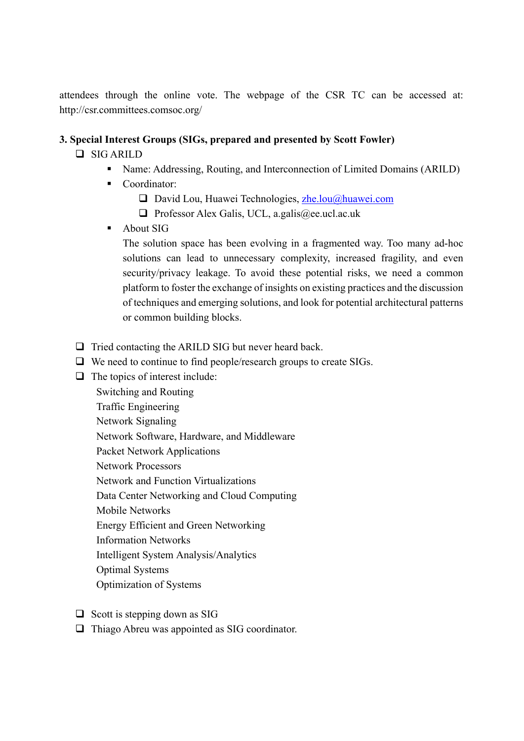attendees through the online vote. The webpage of the CSR TC can be accessed at: http://csr.committees.comsoc.org/

#### **3. Special Interest Groups (SIGs, prepared and presented by Scott Fowler)**

### □ SIG ARILD

- Name: Addressing, Routing, and Interconnection of Limited Domains (ARILD)
- Coordinator:
	- $\Box$  David Lou, Huawei Technologies, [zhe.lou@huawei.com](mailto:zhe.lou@huawei.com)
	- $\Box$  Professor Alex Galis, UCL, a.galis@ee.ucl.ac.uk
- About SIG

The solution space has been evolving in a fragmented way. Too many ad-hoc solutions can lead to unnecessary complexity, increased fragility, and even security/privacy leakage. To avoid these potential risks, we need a common platform to foster the exchange of insights on existing practices and the discussion of techniques and emerging solutions, and look for potential architectural patterns or common building blocks.

- $\Box$  Tried contacting the ARILD SIG but never heard back.
- $\Box$  We need to continue to find people/research groups to create SIGs.
- $\Box$  The topics of interest include:
	- Switching and Routing
	- Traffic Engineering
	- Network Signaling
	- Network Software, Hardware, and Middleware
	- Packet Network Applications
	- Network Processors
	- Network and Function Virtualizations
	- Data Center Networking and Cloud Computing
	- Mobile Networks
	- Energy Efficient and Green Networking
	- Information Networks
	- Intelligent System Analysis/Analytics
	- Optimal Systems
	- Optimization of Systems
- $\Box$  Scott is stepping down as SIG
- $\Box$  Thiago Abreu was appointed as SIG coordinator.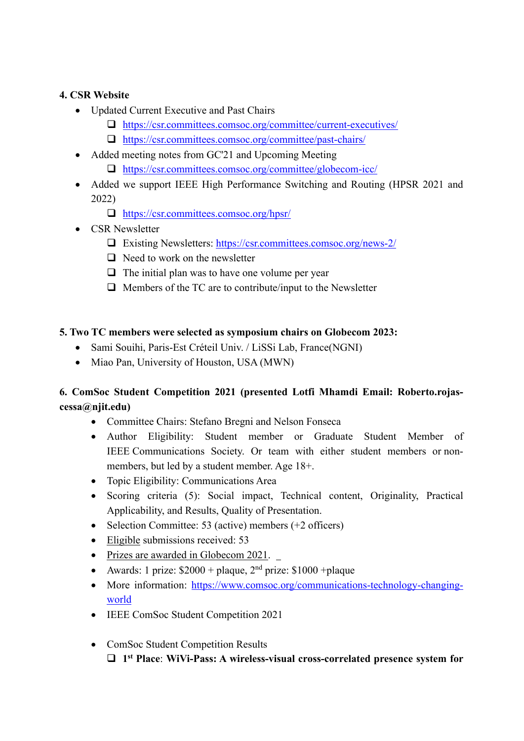## **4. CSR Website**

- Updated Current Executive and Past Chairs
	- <https://csr.committees.comsoc.org/committee/current-executives/>
	- <https://csr.committees.comsoc.org/committee/past-chairs/>
- Added meeting notes from GC'21 and Upcoming Meeting
	- <https://csr.committees.comsoc.org/committee/globecom-icc/>
- Added we support IEEE High Performance Switching and Routing (HPSR 2021 and 2022)
	- <https://csr.committees.comsoc.org/hpsr/>
- CSR Newsletter
	- Existing Newsletters:<https://csr.committees.comsoc.org/news-2/>
	- $\Box$  Need to work on the newsletter
	- $\Box$  The initial plan was to have one volume per year
	- $\Box$  Members of the TC are to contribute/input to the Newsletter

### **5. Two TC members were selected as symposium chairs on Globecom 2023:**

- Sami Souihi, Paris-Est Créteil Univ. / LiSSi Lab, France(NGNI)
- Miao Pan, University of Houston, USA (MWN)

# **6. ComSoc Student Competition 2021 (presented Lotfi Mhamdi Email: Roberto.rojascessa@njit.edu)**

- Committee Chairs: Stefano Bregni and Nelson Fonseca
- Author Eligibility: Student member or Graduate Student Member of IEEE Communications Society. Or team with either student members or nonmembers, but led by a student member. Age 18+.
- Topic Eligibility: Communications Area
- Scoring criteria (5): Social impact, Technical content, Originality, Practical Applicability, and Results, Quality of Presentation.
- Selection Committee: 53 (active) members (+2 officers)
- Eligible submissions received: 53
- Prizes are awarded in Globecom 2021.
- Awards: 1 prize:  $$2000 + plane$ ,  $2<sup>nd</sup>$  prize:  $$1000 + plane$
- More information: [https://www.comsoc.org/communications-technology-changing](https://www.comsoc.org/communications-technology-changing-world)[world](https://www.comsoc.org/communications-technology-changing-world)
- IEEE ComSoc Student Competition 2021
- ComSoc Student Competition Results **1st Place**: **WiVi-Pass: A wireless-visual cross-correlated presence system for**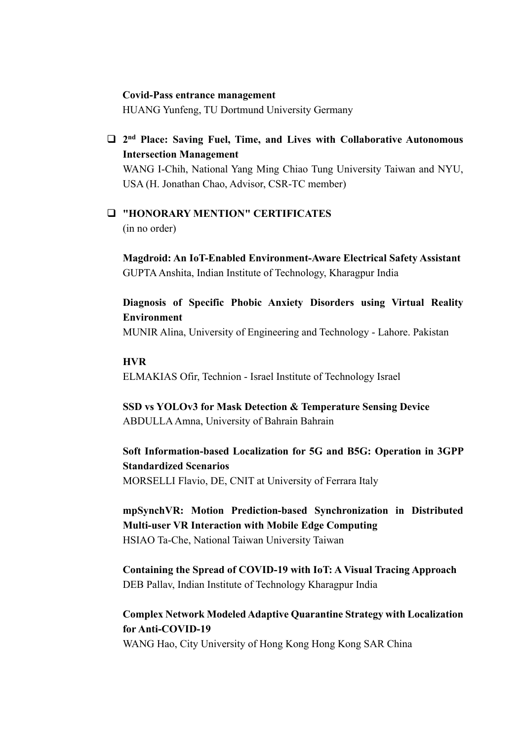#### **Covid-Pass entrance management**

HUANG Yunfeng, TU Dortmund University Germany

 **2nd Place: Saving Fuel, Time, and Lives with Collaborative Autonomous Intersection Management**

WANG I-Chih, National Yang Ming Chiao Tung University Taiwan and NYU, USA (H. Jonathan Chao, Advisor, CSR-TC member)

 **"HONORARY MENTION" CERTIFICATES** (in no order)

**Magdroid: An IoT-Enabled Environment-Aware Electrical Safety Assistant** GUPTA Anshita, Indian Institute of Technology, Kharagpur India

**Diagnosis of Specific Phobic Anxiety Disorders using Virtual Reality Environment**

MUNIR Alina, University of Engineering and Technology - Lahore. Pakistan

#### **HVR**

ELMAKIAS Ofir, Technion - Israel Institute of Technology Israel

**SSD vs YOLOv3 for Mask Detection & Temperature Sensing Device** ABDULLA Amna, University of Bahrain Bahrain

**Soft Information-based Localization for 5G and B5G: Operation in 3GPP Standardized Scenarios** MORSELLI Flavio, DE, CNIT at University of Ferrara Italy

**mpSynchVR: Motion Prediction-based Synchronization in Distributed Multi-user VR Interaction with Mobile Edge Computing** HSIAO Ta-Che, National Taiwan University Taiwan

**Containing the Spread of COVID-19 with IoT: A Visual Tracing Approach** DEB Pallav, Indian Institute of Technology Kharagpur India

**Complex Network Modeled Adaptive Quarantine Strategy with Localization for Anti-COVID-19**

WANG Hao, City University of Hong Kong Hong Kong SAR China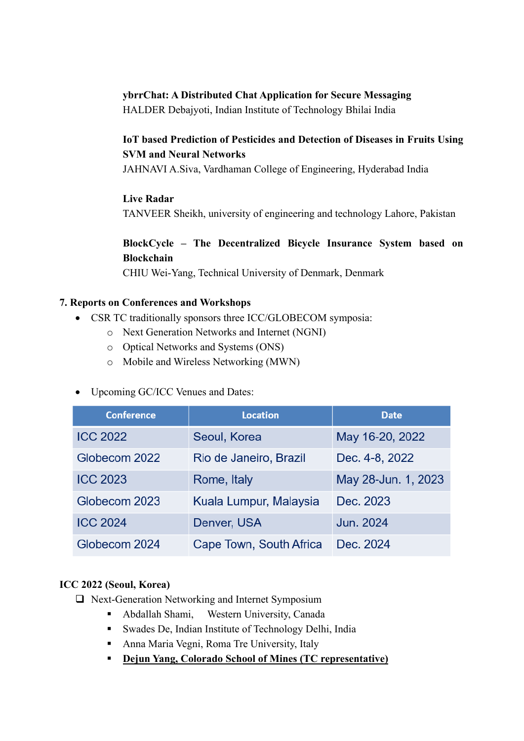#### **ybrrChat: A Distributed Chat Application for Secure Messaging**

HALDER Debajyoti, Indian Institute of Technology Bhilai India

# **IoT based Prediction of Pesticides and Detection of Diseases in Fruits Using SVM and Neural Networks**

JAHNAVI A.Siva, Vardhaman College of Engineering, Hyderabad India

### **Live Radar**

TANVEER Sheikh, university of engineering and technology Lahore, Pakistan

# **BlockCycle – The Decentralized Bicycle Insurance System based on Blockchain**

CHIU Wei-Yang, Technical University of Denmark, Denmark

#### **7. Reports on Conferences and Workshops**

- CSR TC traditionally sponsors three ICC/GLOBECOM symposia:
	- o Next Generation Networks and Internet (NGNI)
	- o Optical Networks and Systems (ONS)
	- o Mobile and Wireless Networking (MWN)

### • Upcoming GC/ICC Venues and Dates:

| <b>Conference</b> | <b>Location</b>         | <b>Date</b>         |
|-------------------|-------------------------|---------------------|
| <b>ICC 2022</b>   | Seoul, Korea            | May 16-20, 2022     |
| Globecom 2022     | Rio de Janeiro, Brazil  | Dec. 4-8, 2022      |
| <b>ICC 2023</b>   | Rome, Italy             | May 28-Jun. 1, 2023 |
| Globecom 2023     | Kuala Lumpur, Malaysia  | Dec. 2023           |
| <b>ICC 2024</b>   | Denver, USA             | Jun. 2024           |
| Globecom 2024     | Cape Town, South Africa | Dec. 2024           |

#### **ICC 2022 (Seoul, Korea)**

□ Next-Generation Networking and Internet Symposium

- Abdallah Shami, Western University, Canada
- Swades De, Indian Institute of Technology Delhi, India
- Anna Maria Vegni, Roma Tre University, Italy
- **Dejun Yang, Colorado School of Mines (TC representative)**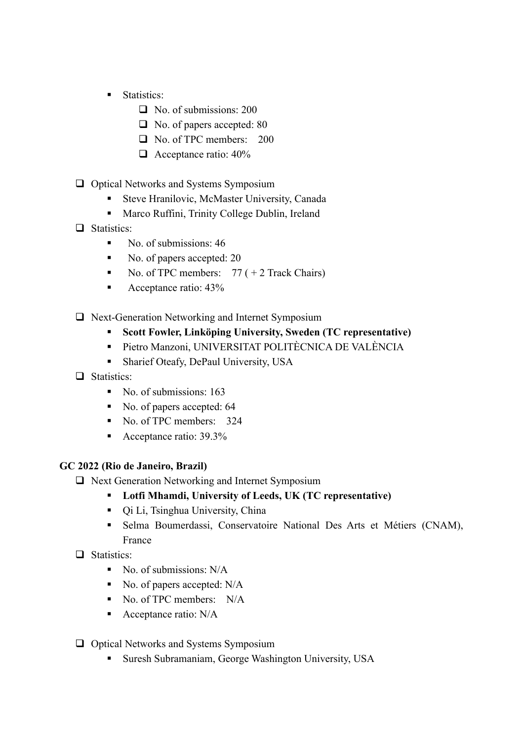- **Statistics:** 
	- No. of submissions: 200
	- □ No. of papers accepted: 80
	- No. of TPC members: 200
	- $\Box$  Acceptance ratio: 40%
- $\Box$  Optical Networks and Systems Symposium
	- Steve Hranilovic, McMaster University, Canada
	- Marco Ruffini, Trinity College Dublin, Ireland
- □ Statistics:
	- No. of submissions:  $46$
	- No. of papers accepted: 20
	- No. of TPC members:  $77 (+ 2$  Track Chairs)
	- Acceptance ratio:  $43\%$
- $\Box$  Next-Generation Networking and Internet Symposium
	- **Scott Fowler, Linköping University, Sweden (TC representative)**
	- Pietro Manzoni, UNIVERSITAT POLITÈCNICA DE VALÈNCIA
	- **Sharief Oteafy, DePaul University, USA**
- □ Statistics:
	- No. of submissions: 163
	- No. of papers accepted: 64
	- No. of TPC members: 324
	- Acceptance ratio: 39.3%

#### **GC 2022 (Rio de Janeiro, Brazil)**

- $\Box$  Next Generation Networking and Internet Symposium
	- **Lotfi Mhamdi, University of Leeds, UK (TC representative)**
	- Qi Li, Tsinghua University, China
	- Selma Boumerdassi, Conservatoire National Des Arts et Métiers (CNAM), France
- □ Statistics:
	- No. of submissions:  $N/A$
	- $\blacksquare$  No. of papers accepted: N/A
	- No. of TPC members: N/A
	- Acceptance ratio: N/A
- $\Box$  Optical Networks and Systems Symposium
	- **Suresh Subramaniam, George Washington University, USA**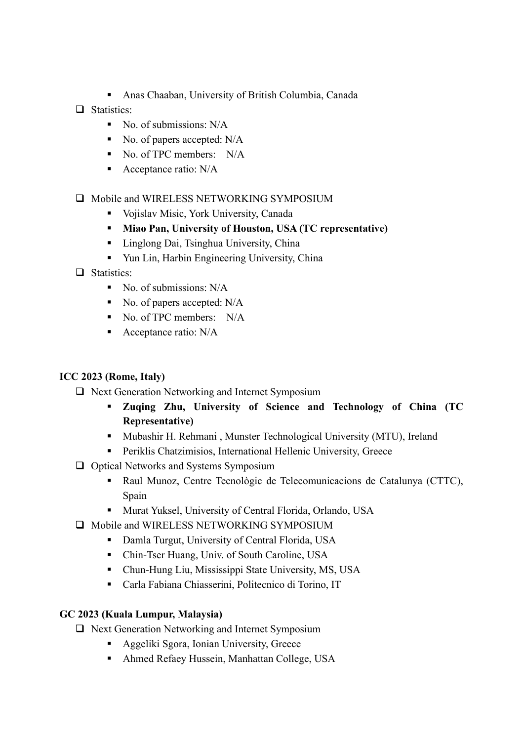- Anas Chaaban, University of British Columbia, Canada
- Statistics:
	- $\blacksquare$  No. of submissions: N/A
	- No. of papers accepted:  $N/A$
	- No. of TPC members: N/A
	- Acceptance ratio: N/A

#### $\Box$  Mobile and WIRELESS NETWORKING SYMPOSIUM

- Vojislav Misic, York University, Canada
- **Miao Pan, University of Houston, USA (TC representative)**
- Linglong Dai, Tsinghua University, China
- Yun Lin, Harbin Engineering University, China
- $\Box$  Statistics:
	- No. of submissions:  $N/A$
	- No. of papers accepted: N/A
	- No. of TPC members: N/A
	- Acceptance ratio: N/A

#### **ICC 2023 (Rome, Italy)**

- $\Box$  Next Generation Networking and Internet Symposium
	- **Zuqing Zhu, University of Science and Technology of China (TC Representative)**
	- Mubashir H. Rehmani , Munster Technological University (MTU), Ireland
	- Periklis Chatzimisios, International Hellenic University, Greece
- $\Box$  Optical Networks and Systems Symposium
	- Raul Munoz, Centre Tecnològic de Telecomunicacions de Catalunya (CTTC), Spain
	- Murat Yuksel, University of Central Florida, Orlando, USA
- $\Box$  Mobile and WIRELESS NETWORKING SYMPOSIUM
	- Damla Turgut, University of Central Florida, USA
	- Chin-Tser Huang, Univ. of South Caroline, USA
	- Chun-Hung Liu, Mississippi State University, MS, USA
	- Carla Fabiana Chiasserini, Politecnico di Torino, IT

### **GC 2023 (Kuala Lumpur, Malaysia)**

- $\Box$  Next Generation Networking and Internet Symposium
	- **Aggeliki Sgora, Ionian University, Greece**
	- Ahmed Refaey Hussein, Manhattan College, USA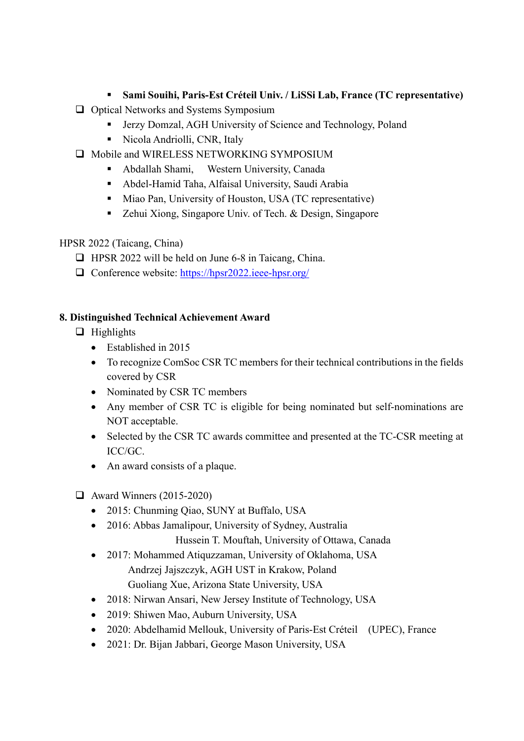## **Sami Souihi, Paris-Est Créteil Univ. / LiSSi Lab, France (TC representative)**

- $\Box$  Optical Networks and Systems Symposium
	- Jerzy Domzal, AGH University of Science and Technology, Poland
	- Nicola Andriolli, CNR, Italy
- $\Box$  Mobile and WIRELESS NETWORKING SYMPOSIUM
	- Abdallah Shami, Western University, Canada
	- Abdel-Hamid Taha, Alfaisal University, Saudi Arabia
	- Miao Pan, University of Houston, USA (TC representative)
	- Zehui Xiong, Singapore Univ. of Tech. & Design, Singapore

### HPSR 2022 (Taicang, China)

- $\Box$  HPSR 2022 will be held on June 6-8 in Taicang, China.
- Conference website: [https://hpsr2022.ieee-hpsr.org/](https://hpsr2021.ieee-hpsr.org/)

### **8. Distinguished Technical Achievement Award**

- $\Box$  Highlights
	- Established in 2015
	- To recognize ComSoc CSR TC members for their technical contributions in the fields covered by CSR
	- Nominated by CSR TC members
	- Any member of CSR TC is eligible for being nominated but self-nominations are NOT acceptable.
	- Selected by the CSR TC awards committee and presented at the TC-CSR meeting at ICC/GC.
	- An award consists of a plaque.
- $\Box$  Award Winners (2015-2020)
	- 2015: Chunming Qiao, SUNY at Buffalo, USA
	- 2016: Abbas Jamalipour, University of Sydney, Australia Hussein T. Mouftah, University of Ottawa, Canada
	- 2017: Mohammed Atiquzzaman, University of Oklahoma, USA Andrzej Jajszczyk, AGH UST in Krakow, Poland Guoliang Xue, Arizona State University, USA
	- 2018: Nirwan Ansari, New Jersey Institute of Technology, USA
	- 2019: Shiwen Mao, Auburn University, USA
	- 2020: Abdelhamid Mellouk, University of Paris-Est Créteil (UPEC), France
	- 2021: Dr. Bijan Jabbari, George Mason University, USA